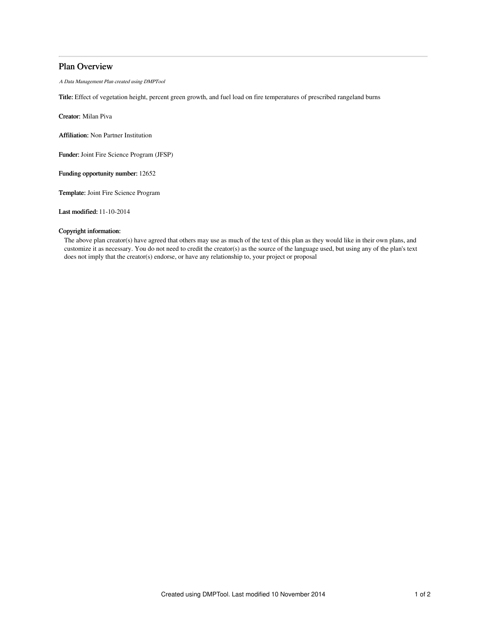# Plan Overview

A Data Management Plan created using DMPTool

Title: Effect of vegetation height, percent green growth, and fuel load on fire temperatures of prescribed rangeland burns

Creator: Milan Piva

Affiliation: Non Partner Institution

Funder: Joint Fire Science Program (JFSP)

Funding opportunity number: 12652

Template: Joint Fire Science Program

Last modified: 11-10-2014

# Copyright information:

The above plan creator(s) have agreed that others may use as much of the text of this plan as they would like in their own plans, and customize it as necessary. You do not need to credit the creator(s) as the source of the language used, but using any of the plan's text does not imply that the creator(s) endorse, or have any relationship to, your project or proposal